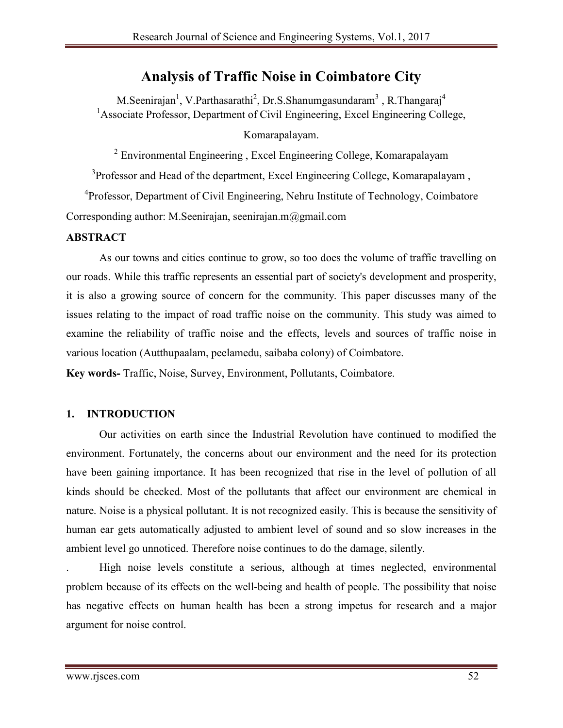# **Analysis of Traffic Noise in Coimbatore City**

M.Seenirajan<sup>1</sup>, V.Parthasarathi<sup>2</sup>, Dr.S.Shanumgasundaram<sup>3</sup>, R.Thangaraj<sup>4</sup> <sup>1</sup> Associate Professor, Department of Civil Engineering, Excel Engineering College,

### Komarapalayam.

<sup>2</sup> Environmental Engineering , Excel Engineering College, Komarapalayam

<sup>3</sup>Professor and Head of the department, Excel Engineering College, Komarapalayam,

<sup>4</sup>Professor, Department of Civil Engineering, Nehru Institute of Technology, Coimbatore Corresponding author: M.Seenirajan, seenirajan.m@gmail.com

### **ABSTRACT**

As our towns and cities continue to grow, so too does the volume of traffic travelling on our roads. While this traffic represents an essential part of society's development and prosperity, it is also a growing source of concern for the community. This paper discusses many of the issues relating to the impact of road traffic noise on the community. This study was aimed to examine the reliability of traffic noise and the effects, levels and sources of traffic noise in various location (Autthupaalam, peelamedu, saibaba colony) of Coimbatore.

**Key words-** Traffic, Noise, Survey, Environment, Pollutants, Coimbatore.

## **1. INTRODUCTION**

Our activities on earth since the Industrial Revolution have continued to modified the environment. Fortunately, the concerns about our environment and the need for its protection have been gaining importance. It has been recognized that rise in the level of pollution of all kinds should be checked. Most of the pollutants that affect our environment are chemical in nature. Noise is a physical pollutant. It is not recognized easily. This is because the sensitivity of human ear gets automatically adjusted to ambient level of sound and so slow increases in the ambient level go unnoticed. Therefore noise continues to do the damage, silently.

. High noise levels constitute a serious, although at times neglected, environmental problem because of its effects on the well-being and health of people. The possibility that noise has negative effects on human health has been a strong impetus for research and a major argument for noise control.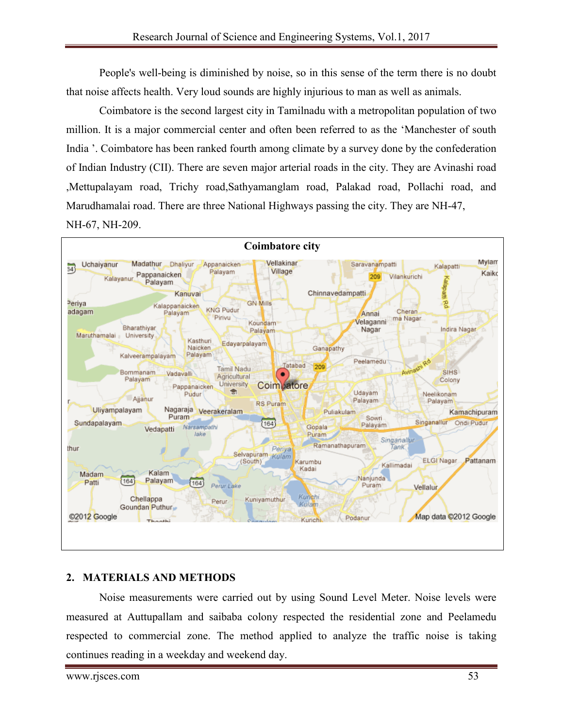People's well-being is diminished by noise, so in this sense of the term there is no doubt that noise affects health. Very loud sounds are highly injurious to man as well as animals.

Coimbatore is the second largest city in Tamilnadu with a metropolitan population of two million. It is a major commercial center and often been referred to as the 'Manchester of south India '. Coimbatore has been ranked fourth among climate by a survey done by the confederation of Indian Industry (CII). There are seven major arterial roads in the city. They are Avinashi road ,Mettupalayam road, Trichy road,Sathyamanglam road, Palakad road, Pollachi road, and Marudhamalai road. There are three National Highways passing the city. They are NH-47,



## **2. MATERIALS AND METHODS**

Noise measurements were carried out by using Sound Level Meter. Noise levels were measured at Auttupallam and saibaba colony respected the residential zone and Peelamedu respected to commercial zone. The method applied to analyze the traffic noise is taking continues reading in a weekday and weekend day.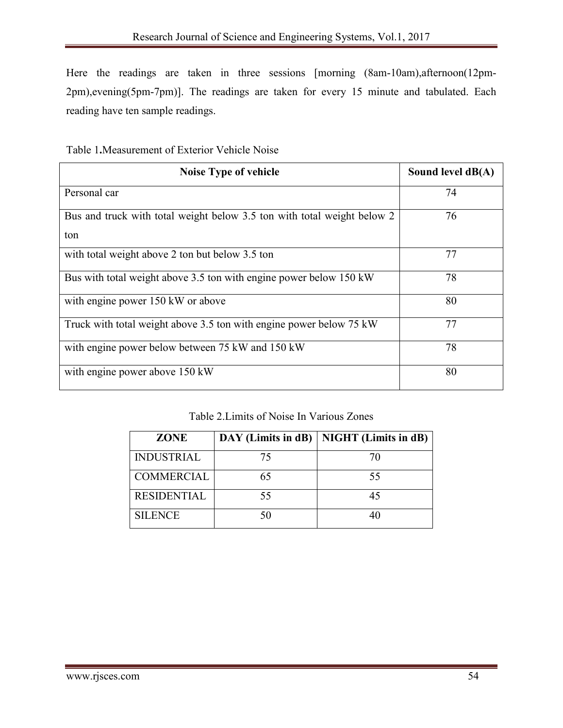Here the readings are taken in three sessions [morning (8am-10am),afternoon(12pm-2pm),evening(5pm-7pm)]. The readings are taken for every 15 minute and tabulated. Each reading have ten sample readings.

| Table 1. Measurement of Exterior Vehicle Noise |  |  |
|------------------------------------------------|--|--|
|------------------------------------------------|--|--|

| <b>Noise Type of vehicle</b>                                            | Sound level $dB(A)$ |
|-------------------------------------------------------------------------|---------------------|
| Personal car                                                            | 74                  |
| Bus and truck with total weight below 3.5 ton with total weight below 2 | 76                  |
| ton                                                                     |                     |
| with total weight above 2 ton but below 3.5 ton                         | 77                  |
| Bus with total weight above 3.5 ton with engine power below 150 kW      | 78                  |
| with engine power 150 kW or above                                       | 80                  |
| Truck with total weight above 3.5 ton with engine power below 75 kW     | 77                  |
| with engine power below between 75 kW and 150 kW                        | 78                  |
| with engine power above 150 kW                                          | 80                  |

Table 2.Limits of Noise In Various Zones

| <b>ZONE</b>        |    | DAY (Limits in dB)   NIGHT (Limits in dB) |
|--------------------|----|-------------------------------------------|
| <b>INDUSTRIAL</b>  | 75 | 70                                        |
| <b>COMMERCIAL</b>  | 65 | 55                                        |
| <b>RESIDENTIAL</b> | 55 | 45                                        |
| <b>SILENCE</b>     | 50 |                                           |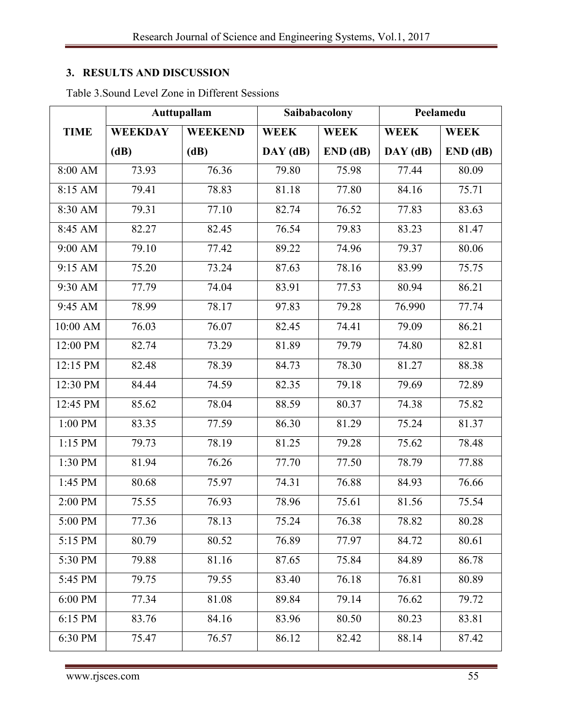# **3. RESULTS AND DISCUSSION**

|                              | Auttupallam    |                | Saibabacolony |             | Peelamedu      |             |
|------------------------------|----------------|----------------|---------------|-------------|----------------|-------------|
| <b>TIME</b>                  | <b>WEEKDAY</b> | <b>WEEKEND</b> | <b>WEEK</b>   | <b>WEEK</b> | <b>WEEK</b>    | <b>WEEK</b> |
|                              | (dB)           | (dB)           | $DAY$ (dB)    | END(dB)     | $DAY$ ( $dB$ ) | END(dB)     |
| 8:00 AM                      | 73.93          | 76.36          | 79.80         | 75.98       | 77.44          | 80.09       |
| 8:15 AM                      | 79.41          | 78.83          | 81.18         | 77.80       | 84.16          | 75.71       |
| 8:30 AM                      | 79.31          | 77.10          | 82.74         | 76.52       | 77.83          | 83.63       |
| 8:45 AM                      | 82.27          | 82.45          | 76.54         | 79.83       | 83.23          | 81.47       |
| 9:00 AM                      | 79.10          | 77.42          | 89.22         | 74.96       | 79.37          | 80.06       |
| 9:15 AM                      | 75.20          | 73.24          | 87.63         | 78.16       | 83.99          | 75.75       |
| 9:30 AM                      | 77.79          | 74.04          | 83.91         | 77.53       | 80.94          | 86.21       |
| 9:45 AM                      | 78.99          | 78.17          | 97.83         | 79.28       | 76.990         | 77.74       |
| 10:00 AM                     | 76.03          | 76.07          | 82.45         | 74.41       | 79.09          | 86.21       |
| 12:00 PM                     | 82.74          | 73.29          | 81.89         | 79.79       | 74.80          | 82.81       |
| 12:15 PM                     | 82.48          | 78.39          | 84.73         | 78.30       | 81.27          | 88.38       |
| 12:30 PM                     | 84.44          | 74.59          | 82.35         | 79.18       | 79.69          | 72.89       |
| 12:45 PM                     | 85.62          | 78.04          | 88.59         | 80.37       | 74.38          | 75.82       |
| 1:00 PM                      | 83.35          | 77.59          | 86.30         | 81.29       | 75.24          | 81.37       |
| 1:15 PM                      | 79.73          | 78.19          | 81.25         | 79.28       | 75.62          | 78.48       |
| 1:30 PM                      | 81.94          | 76.26          | 77.70         | 77.50       | 78.79          | 77.88       |
| 1:45 PM                      | 80.68          | 75.97          | 74.31         | 76.88       | 84.93          | 76.66       |
| 2:00 PM                      | 75.55          | 76.93          | 78.96         | 75.61       | 81.56          | 75.54       |
| 5:00 PM                      | 77.36          | 78.13          | 75.24         | 76.38       | 78.82          | 80.28       |
| $\overline{5:}15 \text{ PM}$ | 80.79          | 80.52          | 76.89         | 77.97       | 84.72          | 80.61       |
| 5:30 PM                      | 79.88          | 81.16          | 87.65         | 75.84       | 84.89          | 86.78       |
| 5:45 PM                      | 79.75          | 79.55          | 83.40         | 76.18       | 76.81          | 80.89       |
| 6:00 PM                      | 77.34          | 81.08          | 89.84         | 79.14       | 76.62          | 79.72       |
| 6:15 PM                      | 83.76          | 84.16          | 83.96         | 80.50       | 80.23          | 83.81       |
| 6:30 PM                      | 75.47          | 76.57          | 86.12         | 82.42       | 88.14          | 87.42       |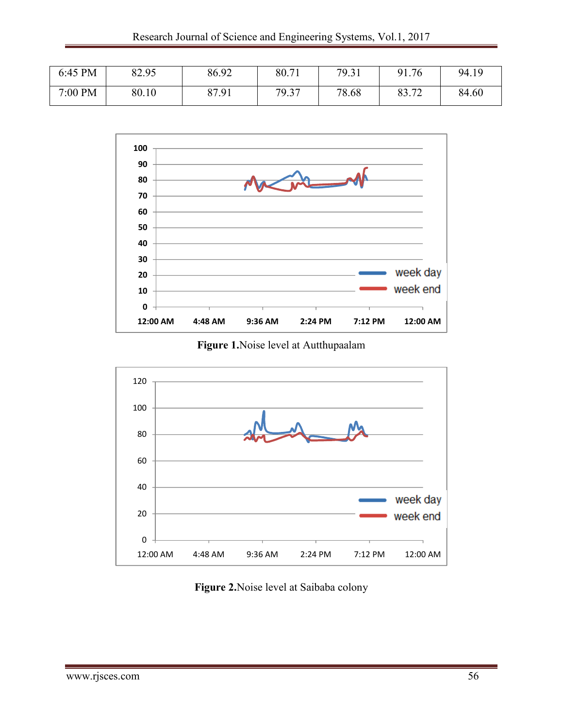| 6:45 PM | 82.95 | 86.92 | 80.71 | 79.31 | 91.76          | 94.19 |
|---------|-------|-------|-------|-------|----------------|-------|
| 7:00 PM | 80.10 | 87.91 | 79.37 | 78.68 | 02 70<br>0J.IZ | 84.60 |



**Figure 1.**Noise level at Autthupaalam



**Figure 2.**Noise level at Saibaba colony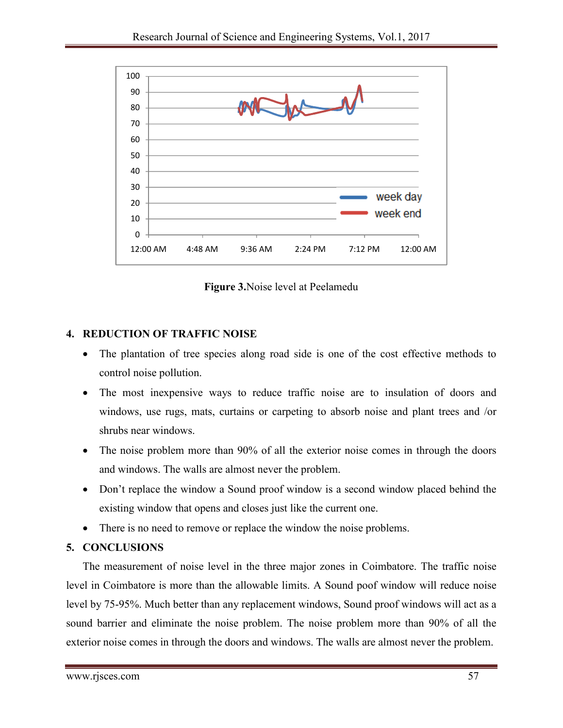

**Figure 3.**Noise level at Peelamedu

# **4. REDUCTION OF TRAFFIC NOISE**

- The plantation of tree species along road side is one of the cost effective methods to control noise pollution.
- The most inexpensive ways to reduce traffic noise are to insulation of doors and windows, use rugs, mats, curtains or carpeting to absorb noise and plant trees and /or shrubs near windows.
- The noise problem more than 90% of all the exterior noise comes in through the doors and windows. The walls are almost never the problem.
- Don't replace the window a Sound proof window is a second window placed behind the existing window that opens and closes just like the current one.
- There is no need to remove or replace the window the noise problems.

## **5. CONCLUSIONS**

The measurement of noise level in the three major zones in Coimbatore. The traffic noise level in Coimbatore is more than the allowable limits. A Sound poof window will reduce noise level by 75-95%. Much better than any replacement windows, Sound proof windows will act as a sound barrier and eliminate the noise problem. The noise problem more than 90% of all the exterior noise comes in through the doors and windows. The walls are almost never the problem.